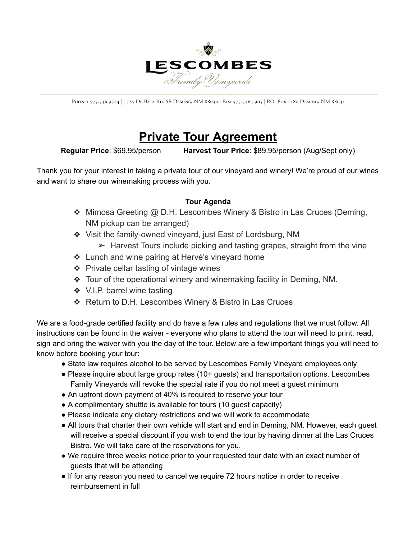

PHONE: 575.546.9324 | 1325 DE BACA RD. SE DEMING, NM 88030 | FAX: 575.546.7905 | P.O. BOX 1180 DEMING, NM 88031

## **Private Tour Agreement**

**Regular Price**: \$69.95/person **Harvest Tour Price**: \$89.95/person (Aug/Sept only)

Thank you for your interest in taking a private tour of our vineyard and winery! We're proud of our wines and want to share our winemaking process with you.

## **Tour Agenda**

- ❖ Mimosa Greeting @ D.H. Lescombes Winery & Bistro in Las Cruces (Deming, NM pickup can be arranged)
- ❖ Visit the family-owned vineyard, just East of Lordsburg, NM
	- $\triangleright$  Harvest Tours include picking and tasting grapes, straight from the vine
- ❖ Lunch and wine pairing at Hervé's vineyard home
- ❖ Private cellar tasting of vintage wines
- ❖ Tour of the operational winery and winemaking facility in Deming, NM.
- ❖ V.I.P. barrel wine tasting
- ❖ Return to D.H. Lescombes Winery & Bistro in Las Cruces

We are a food-grade certified facility and do have a few rules and regulations that we must follow. All instructions can be found in the waiver - everyone who plans to attend the tour will need to print, read, sign and bring the waiver with you the day of the tour. Below are a few important things you will need to know before booking your tour:

- State law requires alcohol to be served by Lescombes Family Vineyard employees only
- Please inquire about large group rates (10+ guests) and transportation options. Lescombes Family Vineyards will revoke the special rate if you do not meet a guest minimum
- An upfront down payment of 40% is required to reserve your tour
- A complimentary shuttle is available for tours (10 guest capacity)
- Please indicate any dietary restrictions and we will work to accommodate
- All tours that charter their own vehicle will start and end in Deming, NM. However, each guest will receive a special discount if you wish to end the tour by having dinner at the Las Cruces Bistro. We will take care of the reservations for you.
- We require three weeks notice prior to your requested tour date with an exact number of guests that will be attending
- If for any reason you need to cancel we require 72 hours notice in order to receive reimbursement in full